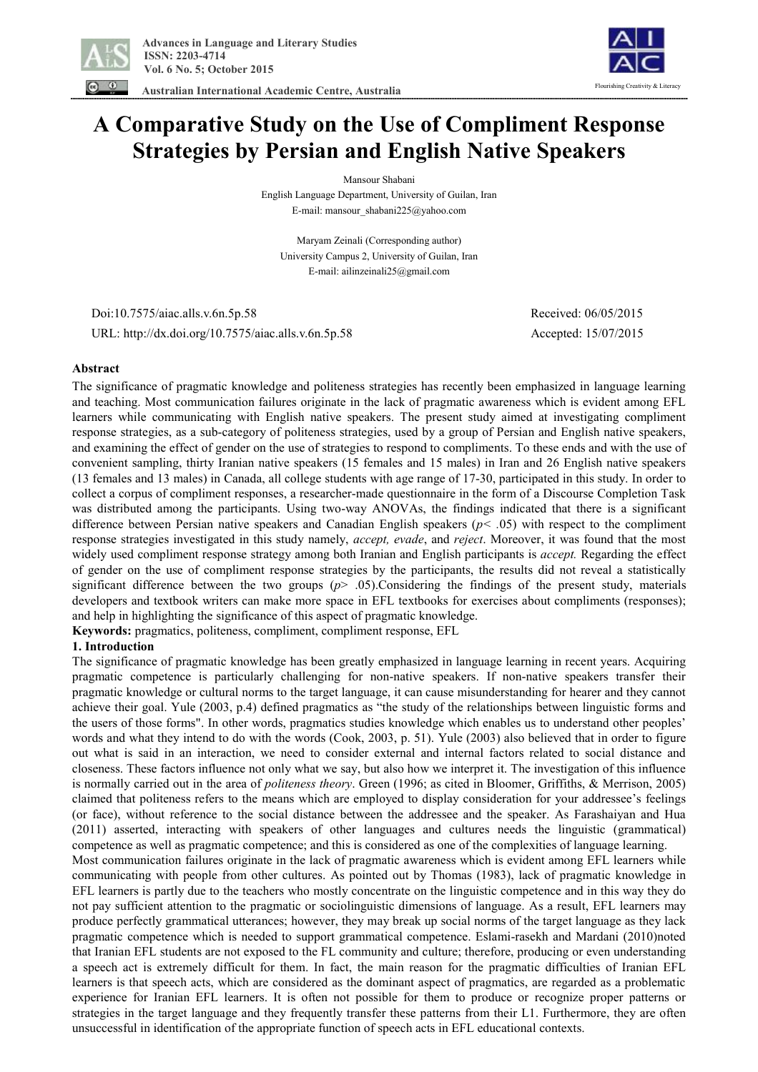

 **Australian International Academic Centre, Australia** 



# **A Comparative Study on the Use of Compliment Response Strategies by Persian and English Native Speakers**

Mansour Shabani

English Language Department, University of Guilan, Iran E-mail: mansour\_shabani225@yahoo.com

Maryam Zeinali (Corresponding author) University Campus 2, University of Guilan, Iran E-mail: ailinzeinali25@gmail.com

 Doi:10.7575/aiac.alls.v.6n.5p.58 Received: 06/05/2015 URL: http://dx.doi.org/10.7575/aiac.alls.v.6n.5p.58 Accepted: 15/07/2015

## **Abstract**

The significance of pragmatic knowledge and politeness strategies has recently been emphasized in language learning and teaching. Most communication failures originate in the lack of pragmatic awareness which is evident among EFL learners while communicating with English native speakers. The present study aimed at investigating compliment response strategies, as a sub-category of politeness strategies, used by a group of Persian and English native speakers, and examining the effect of gender on the use of strategies to respond to compliments. To these ends and with the use of convenient sampling, thirty Iranian native speakers (15 females and 15 males) in Iran and 26 English native speakers (13 females and 13 males) in Canada, all college students with age range of 17-30, participated in this study. In order to collect a corpus of compliment responses, a researcher-made questionnaire in the form of a Discourse Completion Task was distributed among the participants. Using two-way ANOVAs, the findings indicated that there is a significant difference between Persian native speakers and Canadian English speakers (*p< .*05) with respect to the compliment response strategies investigated in this study namely, *accept, evade*, and *reject*. Moreover, it was found that the most widely used compliment response strategy among both Iranian and English participants is *accept.* Regarding the effect of gender on the use of compliment response strategies by the participants, the results did not reveal a statistically significant difference between the two groups (*p*> .05).Considering the findings of the present study, materials developers and textbook writers can make more space in EFL textbooks for exercises about compliments (responses); and help in highlighting the significance of this aspect of pragmatic knowledge.

**Keywords:** pragmatics, politeness, compliment, compliment response, EFL

## **1. Introduction**

The significance of pragmatic knowledge has been greatly emphasized in language learning in recent years. Acquiring pragmatic competence is particularly challenging for non-native speakers. If non-native speakers transfer their pragmatic knowledge or cultural norms to the target language, it can cause misunderstanding for hearer and they cannot achieve their goal. Yule (2003, p.4) defined pragmatics as "the study of the relationships between linguistic forms and the users of those forms". In other words, pragmatics studies knowledge which enables us to understand other peoples' words and what they intend to do with the words (Cook, 2003, p. 51). Yule (2003) also believed that in order to figure out what is said in an interaction, we need to consider external and internal factors related to social distance and closeness. These factors influence not only what we say, but also how we interpret it. The investigation of this influence is normally carried out in the area of *politeness theory*. Green (1996; as cited in Bloomer, Griffiths, & Merrison, 2005) claimed that politeness refers to the means which are employed to display consideration for your addressee's feelings (or face), without reference to the social distance between the addressee and the speaker. As Farashaiyan and Hua (2011) asserted, interacting with speakers of other languages and cultures needs the linguistic (grammatical) competence as well as pragmatic competence; and this is considered as one of the complexities of language learning.

Most communication failures originate in the lack of pragmatic awareness which is evident among EFL learners while communicating with people from other cultures. As pointed out by Thomas (1983), lack of pragmatic knowledge in EFL learners is partly due to the teachers who mostly concentrate on the linguistic competence and in this way they do not pay sufficient attention to the pragmatic or sociolinguistic dimensions of language. As a result, EFL learners may produce perfectly grammatical utterances; however, they may break up social norms of the target language as they lack pragmatic competence which is needed to support grammatical competence. Eslami-rasekh and Mardani (2010)noted that Iranian EFL students are not exposed to the FL community and culture; therefore, producing or even understanding a speech act is extremely difficult for them. In fact, the main reason for the pragmatic difficulties of Iranian EFL learners is that speech acts, which are considered as the dominant aspect of pragmatics, are regarded as a problematic experience for Iranian EFL learners. It is often not possible for them to produce or recognize proper patterns or strategies in the target language and they frequently transfer these patterns from their L1. Furthermore, they are often unsuccessful in identification of the appropriate function of speech acts in EFL educational contexts.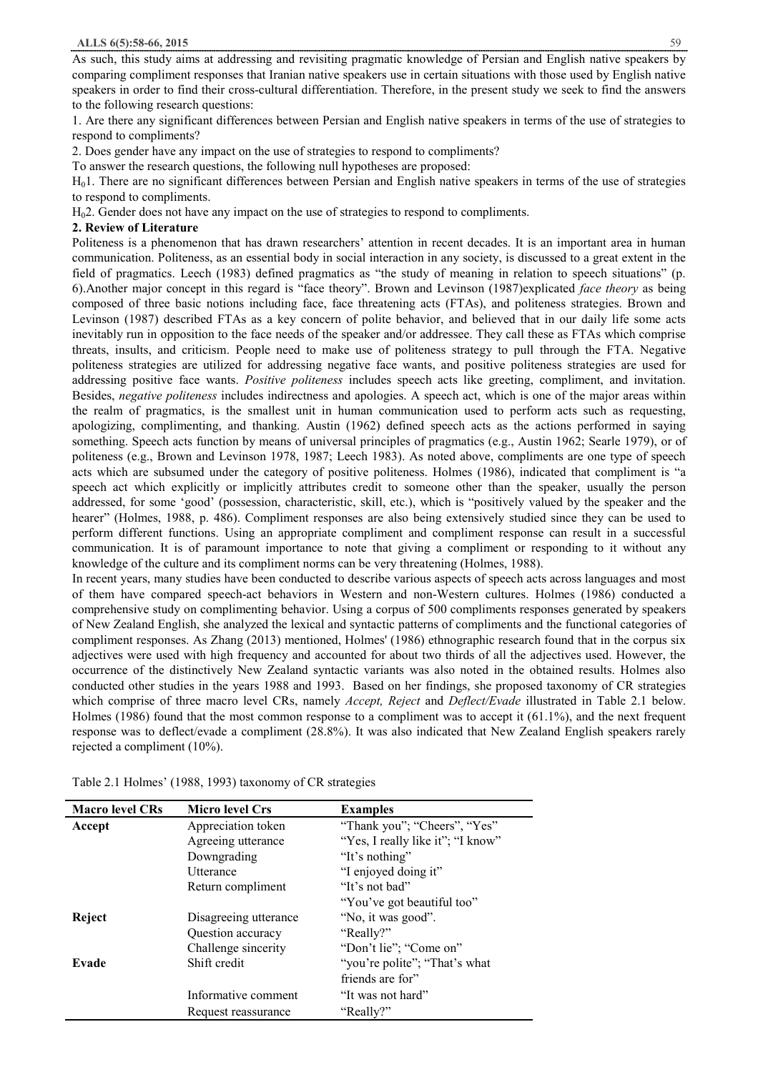As such, this study aims at addressing and revisiting pragmatic knowledge of Persian and English native speakers by comparing compliment responses that Iranian native speakers use in certain situations with those used by English native speakers in order to find their cross-cultural differentiation. Therefore, in the present study we seek to find the answers to the following research questions:

1. Are there any significant differences between Persian and English native speakers in terms of the use of strategies to respond to compliments?

2. Does gender have any impact on the use of strategies to respond to compliments?

To answer the research questions, the following null hypotheses are proposed:

H01. There are no significant differences between Persian and English native speakers in terms of the use of strategies to respond to compliments.

H02. Gender does not have any impact on the use of strategies to respond to compliments.

#### **2. Review of Literature**

Politeness is a phenomenon that has drawn researchers' attention in recent decades. It is an important area in human communication. Politeness, as an essential body in social interaction in any society, is discussed to a great extent in the field of pragmatics. Leech (1983) defined pragmatics as "the study of meaning in relation to speech situations" (p. 6).Another major concept in this regard is "face theory". Brown and Levinson (1987)explicated *face theory* as being composed of three basic notions including face, face threatening acts (FTAs), and politeness strategies. Brown and Levinson (1987) described FTAs as a key concern of polite behavior, and believed that in our daily life some acts inevitably run in opposition to the face needs of the speaker and/or addressee. They call these as FTAs which comprise threats, insults, and criticism. People need to make use of politeness strategy to pull through the FTA. Negative politeness strategies are utilized for addressing negative face wants, and positive politeness strategies are used for addressing positive face wants. *Positive politeness* includes speech acts like greeting, compliment, and invitation. Besides, *negative politeness* includes indirectness and apologies. A speech act, which is one of the major areas within the realm of pragmatics, is the smallest unit in human communication used to perform acts such as requesting, apologizing, complimenting, and thanking. Austin (1962) defined speech acts as the actions performed in saying something. Speech acts function by means of universal principles of pragmatics (e.g., Austin 1962; Searle 1979), or of politeness (e.g., Brown and Levinson 1978, 1987; Leech 1983). As noted above, compliments are one type of speech acts which are subsumed under the category of positive politeness. Holmes (1986), indicated that compliment is "a speech act which explicitly or implicitly attributes credit to someone other than the speaker, usually the person addressed, for some 'good' (possession, characteristic, skill, etc.), which is "positively valued by the speaker and the hearer" (Holmes, 1988, p. 486). Compliment responses are also being extensively studied since they can be used to perform different functions. Using an appropriate compliment and compliment response can result in a successful communication. It is of paramount importance to note that giving a compliment or responding to it without any knowledge of the culture and its compliment norms can be very threatening (Holmes, 1988).

In recent years, many studies have been conducted to describe various aspects of speech acts across languages and most of them have compared speech-act behaviors in Western and non-Western cultures. Holmes (1986) conducted a comprehensive study on complimenting behavior. Using a corpus of 500 compliments responses generated by speakers of New Zealand English, she analyzed the lexical and syntactic patterns of compliments and the functional categories of compliment responses. As Zhang (2013) mentioned, Holmes' (1986) ethnographic research found that in the corpus six adjectives were used with high frequency and accounted for about two thirds of all the adjectives used. However, the occurrence of the distinctively New Zealand syntactic variants was also noted in the obtained results. Holmes also conducted other studies in the years 1988 and 1993. Based on her findings, she proposed taxonomy of CR strategies which comprise of three macro level CRs, namely *Accept, Reject* and *Deflect/Evade* illustrated in Table 2.1 below. Holmes (1986) found that the most common response to a compliment was to accept it (61.1%), and the next frequent response was to deflect/evade a compliment (28.8%). It was also indicated that New Zealand English speakers rarely rejected a compliment (10%).

| <b>Macro level CRs</b> | <b>Micro level Crs</b> | <b>Examples</b>                   |
|------------------------|------------------------|-----------------------------------|
| Accept                 | Appreciation token     | "Thank you"; "Cheers", "Yes"      |
|                        | Agreeing utterance     | "Yes, I really like it"; "I know" |
|                        | Downgrading            | "It's nothing"                    |
|                        | <b>Utterance</b>       | "I enjoyed doing it"              |
|                        | Return compliment      | "It's not bad"                    |
|                        |                        | "You've got beautiful too"        |
| Reject                 | Disagreeing utterance  | "No, it was good".                |
|                        | Question accuracy      | "Really?"                         |
|                        | Challenge sincerity    | "Don't lie"; "Come on"            |
| Evade                  | Shift credit           | "you're polite"; "That's what"    |
|                        |                        | friends are for"                  |
|                        | Informative comment    | "It was not hard"                 |
|                        | Request reassurance    | "Really?"                         |

Table 2.1 Holmes' (1988, 1993) taxonomy of CR strategies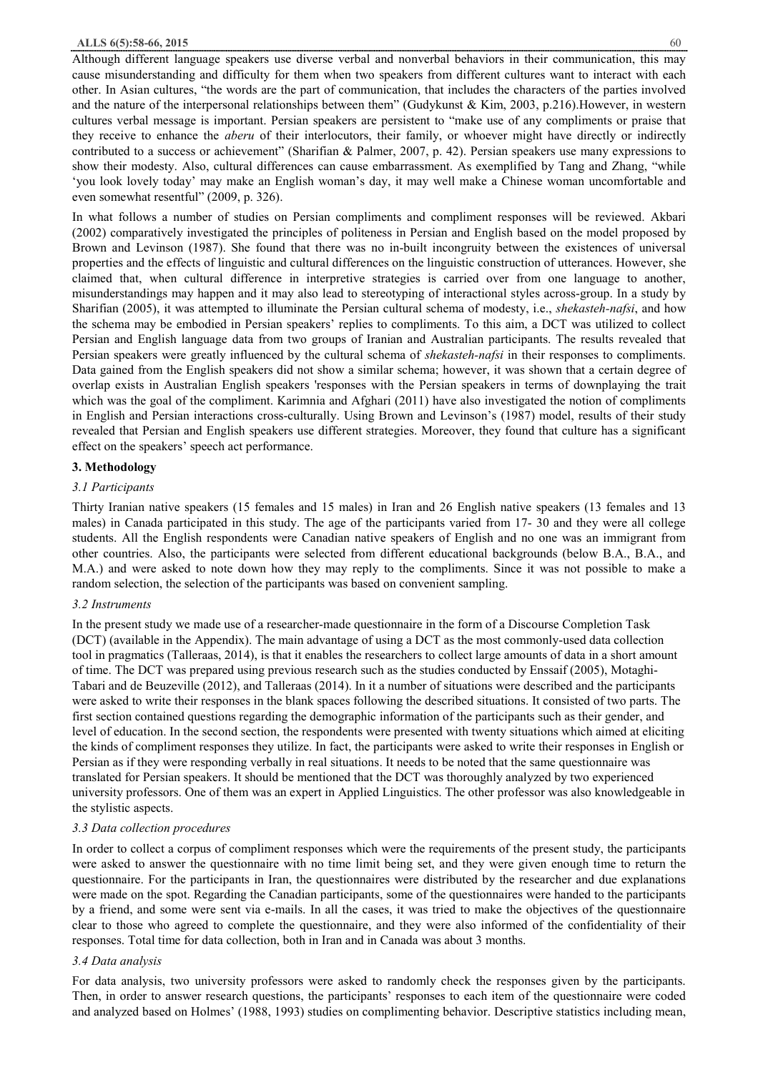#### **ALLS 6(5):58-66, 2015** 60

Although different language speakers use diverse verbal and nonverbal behaviors in their communication, this may cause misunderstanding and difficulty for them when two speakers from different cultures want to interact with each other. In Asian cultures, "the words are the part of communication, that includes the characters of the parties involved and the nature of the interpersonal relationships between them" (Gudykunst & Kim, 2003, p.216).However, in western cultures verbal message is important. Persian speakers are persistent to "make use of any compliments or praise that they receive to enhance the *aberu* of their interlocutors, their family, or whoever might have directly or indirectly contributed to a success or achievement" (Sharifian & Palmer, 2007, p. 42). Persian speakers use many expressions to show their modesty. Also, cultural differences can cause embarrassment. As exemplified by Tang and Zhang, "while 'you look lovely today' may make an English woman's day, it may well make a Chinese woman uncomfortable and even somewhat resentful" (2009, p. 326).

In what follows a number of studies on Persian compliments and compliment responses will be reviewed. Akbari (2002) comparatively investigated the principles of politeness in Persian and English based on the model proposed by Brown and Levinson (1987). She found that there was no in-built incongruity between the existences of universal properties and the effects of linguistic and cultural differences on the linguistic construction of utterances. However, she claimed that, when cultural difference in interpretive strategies is carried over from one language to another, misunderstandings may happen and it may also lead to stereotyping of interactional styles across-group. In a study by Sharifian (2005), it was attempted to illuminate the Persian cultural schema of modesty, i.e., *shekasteh-nafsi*, and how the schema may be embodied in Persian speakers' replies to compliments. To this aim, a DCT was utilized to collect Persian and English language data from two groups of Iranian and Australian participants. The results revealed that Persian speakers were greatly influenced by the cultural schema of *shekasteh-nafsi* in their responses to compliments. Data gained from the English speakers did not show a similar schema; however, it was shown that a certain degree of overlap exists in Australian English speakers 'responses with the Persian speakers in terms of downplaying the trait which was the goal of the compliment. Karimnia and Afghari (2011) have also investigated the notion of compliments in English and Persian interactions cross-culturally. Using Brown and Levinson's (1987) model, results of their study revealed that Persian and English speakers use different strategies. Moreover, they found that culture has a significant effect on the speakers' speech act performance.

#### **3. Methodology**

#### *3.1 Participants*

Thirty Iranian native speakers (15 females and 15 males) in Iran and 26 English native speakers (13 females and 13 males) in Canada participated in this study. The age of the participants varied from 17- 30 and they were all college students. All the English respondents were Canadian native speakers of English and no one was an immigrant from other countries. Also, the participants were selected from different educational backgrounds (below B.A., B.A., and M.A.) and were asked to note down how they may reply to the compliments. Since it was not possible to make a random selection, the selection of the participants was based on convenient sampling.

#### *3.2 Instruments*

In the present study we made use of a researcher-made questionnaire in the form of a Discourse Completion Task (DCT) (available in the Appendix). The main advantage of using a DCT as the most commonly-used data collection tool in pragmatics (Talleraas, 2014), is that it enables the researchers to collect large amounts of data in a short amount of time. The DCT was prepared using previous research such as the studies conducted by Enssaif (2005), Motaghi-Tabari and de Beuzeville (2012), and Talleraas (2014). In it a number of situations were described and the participants were asked to write their responses in the blank spaces following the described situations. It consisted of two parts. The first section contained questions regarding the demographic information of the participants such as their gender, and level of education. In the second section, the respondents were presented with twenty situations which aimed at eliciting the kinds of compliment responses they utilize. In fact, the participants were asked to write their responses in English or Persian as if they were responding verbally in real situations. It needs to be noted that the same questionnaire was translated for Persian speakers. It should be mentioned that the DCT was thoroughly analyzed by two experienced university professors. One of them was an expert in Applied Linguistics. The other professor was also knowledgeable in the stylistic aspects.

## *3.3 Data collection procedures*

In order to collect a corpus of compliment responses which were the requirements of the present study, the participants were asked to answer the questionnaire with no time limit being set, and they were given enough time to return the questionnaire. For the participants in Iran, the questionnaires were distributed by the researcher and due explanations were made on the spot. Regarding the Canadian participants, some of the questionnaires were handed to the participants by a friend, and some were sent via e-mails. In all the cases, it was tried to make the objectives of the questionnaire clear to those who agreed to complete the questionnaire, and they were also informed of the confidentiality of their responses. Total time for data collection, both in Iran and in Canada was about 3 months.

#### *3.4 Data analysis*

For data analysis, two university professors were asked to randomly check the responses given by the participants. Then, in order to answer research questions, the participants' responses to each item of the questionnaire were coded and analyzed based on Holmes' (1988, 1993) studies on complimenting behavior. Descriptive statistics including mean,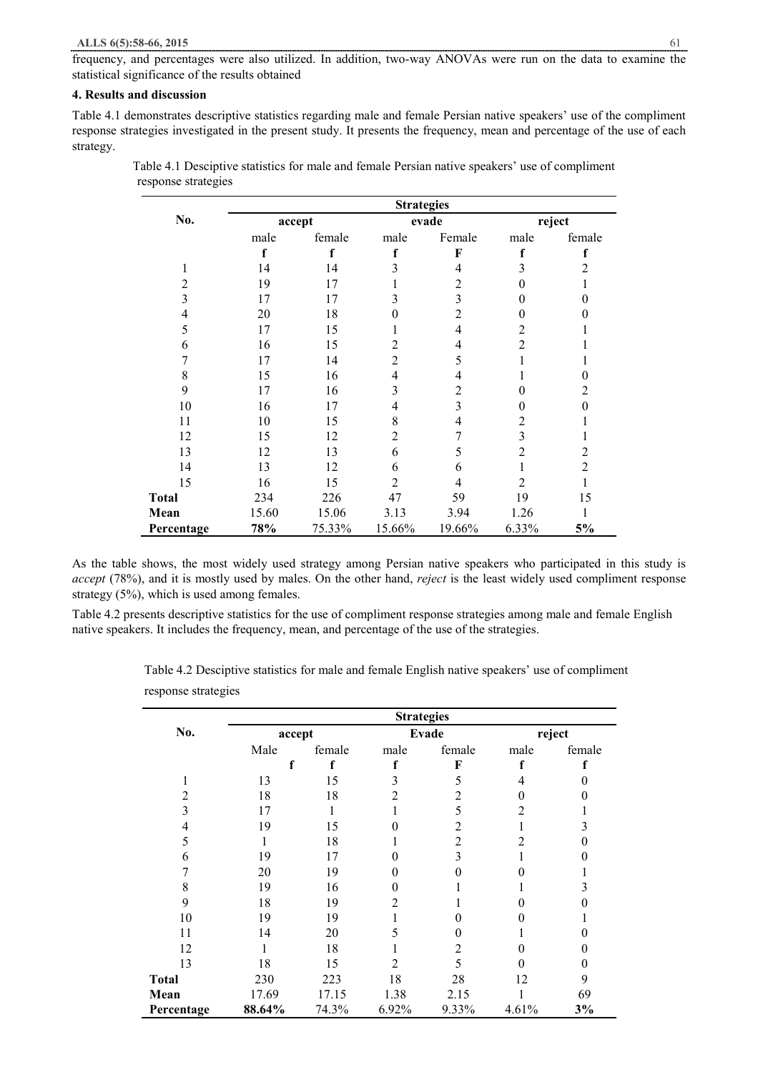frequency, and percentages were also utilized. In addition, two-way ANOVAs were run on the data to examine the statistical significance of the results obtained

# **4. Results and discussion**

Table 4.1 demonstrates descriptive statistics regarding male and female Persian native speakers' use of the compliment response strategies investigated in the present study. It presents the frequency, mean and percentage of the use of each strategy.

|                |       |                 | <b>Strategies</b> |                |                |                |
|----------------|-------|-----------------|-------------------|----------------|----------------|----------------|
| No.            |       | evade<br>accept |                   | reject         |                |                |
|                | male  | female          | male              | Female         | male           | female         |
|                | f     | f               | f                 | F              | f              | f              |
| 1              | 14    | 14              | 3                 | 4              | 3              | 2              |
| $\overline{2}$ | 19    | 17              |                   | 2              |                |                |
| 3              | 17    | 17              | 3                 | 3              | 0              | 0              |
| 4              | 20    | 18              | 0                 | $\overline{2}$ | 0              | 0              |
| 5              | 17    | 15              |                   |                | 2              |                |
| 6              | 16    | 15              | 2                 | 4              | $\overline{c}$ |                |
| 7              | 17    | 14              | $\overline{2}$    | 5              |                |                |
| 8              | 15    | 16              | 4                 | 4              |                | 0              |
| 9              | 17    | 16              | 3                 | $\overline{2}$ | 0              | $\overline{2}$ |
| 10             | 16    | 17              | 4                 | 3              | 0              | $\Omega$       |
| 11             | 10    | 15              | 8                 | 4              | 2              |                |
| 12             | 15    | 12              | $\overline{2}$    | 7              | 3              |                |
| 13             | 12    | 13              | 6                 | 5              | 2              | 2              |
| 14             | 13    | 12              | 6                 | 6              |                | 2              |
| 15             | 16    | 15              | $\overline{2}$    | 4              | $\overline{2}$ |                |
| <b>Total</b>   | 234   | 226             | 47                | 59             | 19             | 15             |
| Mean           | 15.60 | 15.06           | 3.13              | 3.94           | 1.26           |                |
| Percentage     | 78%   | 75.33%          | 15.66%            | 19.66%         | 6.33%          | 5%             |

 Table 4.1 Desciptive statistics for male and female Persian native speakers' use of compliment response strategies

As the table shows, the most widely used strategy among Persian native speakers who participated in this study is *accept* (78%), and it is mostly used by males. On the other hand, *reject* is the least widely used compliment response strategy (5%), which is used among females.

Table 4.2 presents descriptive statistics for the use of compliment response strategies among male and female English native speakers. It includes the frequency, mean, and percentage of the use of the strategies.

> Table 4.2 Desciptive statistics for male and female English native speakers' use of compliment response strategies

|              |        |        | <b>Strategies</b> |        |        |        |
|--------------|--------|--------|-------------------|--------|--------|--------|
| No.          | accept |        | Evade             |        | reject |        |
|              | Male   | female | male              | female | male   | female |
|              |        |        |                   | F      |        |        |
|              | 13     | 15     |                   |        |        |        |
|              | 18     | 18     |                   | 2      |        |        |
| 3            | 17     |        |                   | 5      | 2      |        |
| 4            | 19     | 15     |                   |        |        |        |
| 5            |        | 18     |                   | 2      |        |        |
| 6            | 19     | 17     |                   |        |        |        |
|              | 20     | 19     |                   |        |        |        |
| 8            | 19     | 16     |                   |        |        |        |
| 9            | 18     | 19     | 2                 |        |        |        |
| 10           | 19     | 19     |                   |        |        |        |
| 11           | 14     | 20     | 5                 |        |        |        |
| 12           |        | 18     |                   | 2      |        |        |
| 13           | 18     | 15     | 2                 | 5      |        |        |
| <b>Total</b> | 230    | 223    | 18                | 28     | 12     | 9      |
| Mean         | 17.69  | 17.15  | 1.38              | 2.15   |        | 69     |
| Percentage   | 88.64% | 74.3%  | 6.92%             | 9.33%  | 4.61%  | 3%     |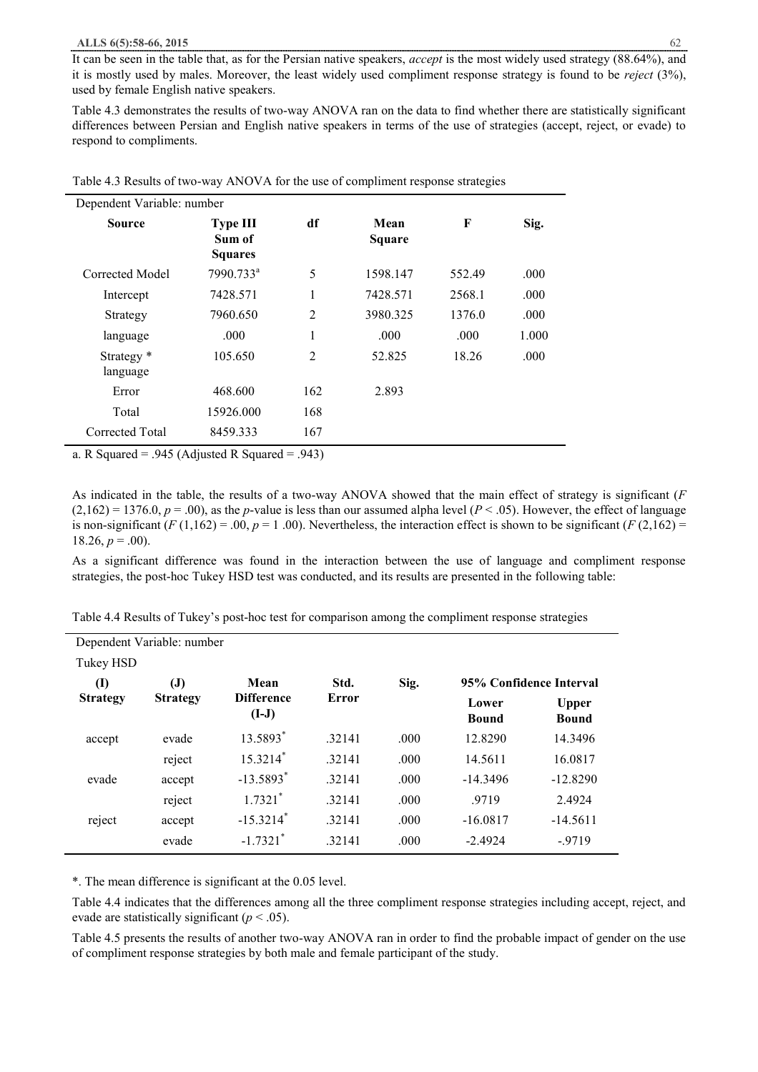It can be seen in the table that, as for the Persian native speakers, *accept* is the most widely used strategy (88.64%), and it is mostly used by males. Moreover, the least widely used compliment response strategy is found to be *reject* (3%), used by female English native speakers.

Table 4.3 demonstrates the results of two-way ANOVA ran on the data to find whether there are statistically significant differences between Persian and English native speakers in terms of the use of strategies (accept, reject, or evade) to respond to compliments.

| Dependent Variable: number        |                                             |     |                |        |       |
|-----------------------------------|---------------------------------------------|-----|----------------|--------|-------|
| <b>Source</b>                     | <b>Type III</b><br>Sum of<br><b>Squares</b> | df  | Mean<br>Square | F      | Sig.  |
| Corrected Model                   | 7990.733 <sup>a</sup>                       | 5   | 1598.147       | 552.49 | .000  |
| Intercept                         | 7428.571                                    | 1   | 7428.571       | 2568.1 | .000  |
| Strategy                          | 7960.650                                    | 2   | 3980.325       | 1376.0 | .000  |
| language                          | .000                                        | 1   | .000           | .000   | 1.000 |
| Strategy <sup>*</sup><br>language | 105.650                                     | 2   | 52.825         | 18.26  | .000  |
| Error                             | 468.600                                     | 162 | 2.893          |        |       |
| Total                             | 15926.000                                   | 168 |                |        |       |
| Corrected Total                   | 8459.333                                    | 167 |                |        |       |

| Table 4.3 Results of two-way ANOVA for the use of compliment response strategies |  |  |
|----------------------------------------------------------------------------------|--|--|
|                                                                                  |  |  |

a. R Squared = .945 (Adjusted R Squared = .943)

As indicated in the table, the results of a two-way ANOVA showed that the main effect of strategy is significant (*F*  $(2,162) = 1376.0, p = .00$ , as the *p*-value is less than our assumed alpha level  $(P < .05)$ . However, the effect of language is non-significant  $(F(1,162) = .00, p = 1, 00)$ . Nevertheless, the interaction effect is shown to be significant  $(F(2,162) =$  $18.26, p = .00$ ).

As a significant difference was found in the interaction between the use of language and compliment response strategies, the post-hoc Tukey HSD test was conducted, and its results are presented in the following table:

| Table 4.4 Results of Tukey's post-hoc test for comparison among the compliment response strategies |  |
|----------------------------------------------------------------------------------------------------|--|

|                 | Dependent Variable: number |                              |        |      |                         |                              |
|-----------------|----------------------------|------------------------------|--------|------|-------------------------|------------------------------|
| Tukey HSD       |                            |                              |        |      |                         |                              |
| $\mathbf{I}$    | $\mathbf{J}$               | Mean                         | Std.   | Sig. | 95% Confidence Interval |                              |
| <b>Strategy</b> | <b>Strategy</b>            | <b>Difference</b><br>$(I-J)$ | Error  |      | Lower<br><b>Bound</b>   | <b>Upper</b><br><b>Bound</b> |
| accept          | evade                      | 13.5893*                     | .32141 | .000 | 12.8290                 | 14.3496                      |
|                 | reject                     | $15.3214*$                   | .32141 | .000 | 14.5611                 | 16.0817                      |
| evade           | accept                     | $-13.5893*$                  | .32141 | .000 | $-14.3496$              | $-12.8290$                   |
|                 | reject                     | $1.7321$ <sup>*</sup>        | .32141 | .000 | .9719                   | 2.4924                       |
| reject          | accept                     | $-15.3214$ <sup>*</sup>      | .32141 | .000 | $-16.0817$              | $-14.5611$                   |
|                 | evade                      | $-1.7321$ <sup>*</sup>       | .32141 | .000 | $-2.4924$               | $-9719$                      |

\*. The mean difference is significant at the 0.05 level.

Table 4.4 indicates that the differences among all the three compliment response strategies including accept, reject, and evade are statistically significant  $(p < .05)$ .

Table 4.5 presents the results of another two-way ANOVA ran in order to find the probable impact of gender on the use of compliment response strategies by both male and female participant of the study.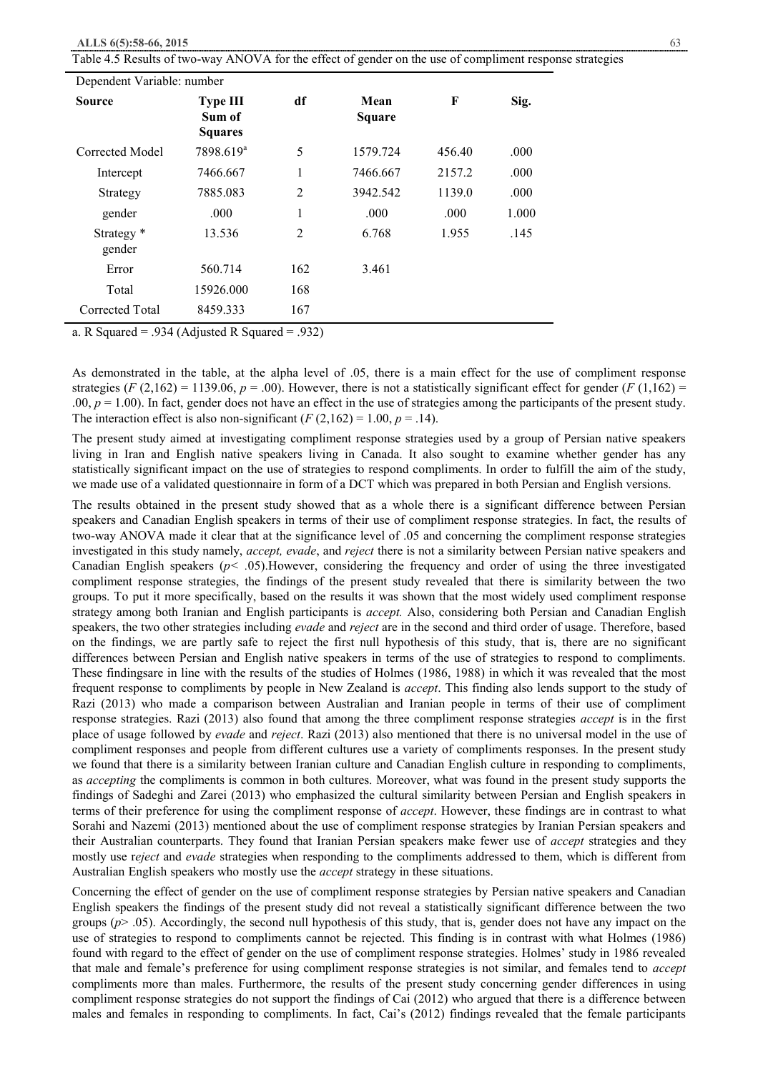Table 4.5 Results of two-way ANOVA for the effect of gender on the use of compliment response strategies

| Dependent Variable: number |                                             |                             |                       |        |       |  |  |
|----------------------------|---------------------------------------------|-----------------------------|-----------------------|--------|-------|--|--|
| <b>Source</b>              | <b>Type III</b><br>Sum of<br><b>Squares</b> | df                          | Mean<br><b>Square</b> | F      | Sig.  |  |  |
| Corrected Model            | 7898.619 <sup>a</sup>                       | 5                           | 1579.724              | 456.40 | .000  |  |  |
| Intercept                  | 7466.667                                    | 1                           | 7466.667              | 2157.2 | .000  |  |  |
| Strategy                   | 7885.083                                    | $\overline{2}$              | 3942.542              | 1139.0 | .000  |  |  |
| gender                     | .000                                        | 1                           | .000                  | .000   | 1.000 |  |  |
| Strategy *<br>gender       | 13.536                                      | $\overline{2}$              | 6.768                 | 1.955  | .145  |  |  |
| Error                      | 560.714                                     | 162                         | 3.461                 |        |       |  |  |
| Total                      | 15926.000                                   | 168                         |                       |        |       |  |  |
| Corrected Total            | 8459.333                                    | 167<br>$\sim$ $\sim$ $\sim$ |                       |        |       |  |  |

a. R Squared = .934 (Adjusted R Squared = .932)

As demonstrated in the table, at the alpha level of .05, there is a main effect for the use of compliment response strategies  $(F(2,162) = 1139.06, p = .00)$ . However, there is not a statistically significant effect for gender  $(F(1,162) =$ .00,  $p = 1.00$ ). In fact, gender does not have an effect in the use of strategies among the participants of the present study. The interaction effect is also non-significant  $(F(2,162) = 1.00, p = .14)$ .

The present study aimed at investigating compliment response strategies used by a group of Persian native speakers living in Iran and English native speakers living in Canada. It also sought to examine whether gender has any statistically significant impact on the use of strategies to respond compliments. In order to fulfill the aim of the study, we made use of a validated questionnaire in form of a DCT which was prepared in both Persian and English versions.

The results obtained in the present study showed that as a whole there is a significant difference between Persian speakers and Canadian English speakers in terms of their use of compliment response strategies. In fact, the results of two-way ANOVA made it clear that at the significance level of .05 and concerning the compliment response strategies investigated in this study namely, *accept, evade*, and *reject* there is not a similarity between Persian native speakers and Canadian English speakers (*p< .*05).However, considering the frequency and order of using the three investigated compliment response strategies, the findings of the present study revealed that there is similarity between the two groups. To put it more specifically, based on the results it was shown that the most widely used compliment response strategy among both Iranian and English participants is *accept.* Also, considering both Persian and Canadian English speakers, the two other strategies including *evade* and *reject* are in the second and third order of usage. Therefore, based on the findings, we are partly safe to reject the first null hypothesis of this study, that is, there are no significant differences between Persian and English native speakers in terms of the use of strategies to respond to compliments. These findingsare in line with the results of the studies of Holmes (1986, 1988) in which it was revealed that the most frequent response to compliments by people in New Zealand is *accept*. This finding also lends support to the study of Razi (2013) who made a comparison between Australian and Iranian people in terms of their use of compliment response strategies. Razi (2013) also found that among the three compliment response strategies *accept* is in the first place of usage followed by *evade* and *reject*. Razi (2013) also mentioned that there is no universal model in the use of compliment responses and people from different cultures use a variety of compliments responses. In the present study we found that there is a similarity between Iranian culture and Canadian English culture in responding to compliments, as *accepting* the compliments is common in both cultures. Moreover, what was found in the present study supports the findings of Sadeghi and Zarei (2013) who emphasized the cultural similarity between Persian and English speakers in terms of their preference for using the compliment response of *accept*. However, these findings are in contrast to what Sorahi and Nazemi (2013) mentioned about the use of compliment response strategies by Iranian Persian speakers and their Australian counterparts. They found that Iranian Persian speakers make fewer use of *accept* strategies and they mostly use r*eject* and *evade* strategies when responding to the compliments addressed to them, which is different from Australian English speakers who mostly use the *accept* strategy in these situations.

Concerning the effect of gender on the use of compliment response strategies by Persian native speakers and Canadian English speakers the findings of the present study did not reveal a statistically significant difference between the two groups  $(p > .05)$ . Accordingly, the second null hypothesis of this study, that is, gender does not have any impact on the use of strategies to respond to compliments cannot be rejected. This finding is in contrast with what Holmes (1986) found with regard to the effect of gender on the use of compliment response strategies. Holmes' study in 1986 revealed that male and female's preference for using compliment response strategies is not similar, and females tend to *accept* compliments more than males. Furthermore, the results of the present study concerning gender differences in using compliment response strategies do not support the findings of Cai (2012) who argued that there is a difference between males and females in responding to compliments. In fact, Cai's (2012) findings revealed that the female participants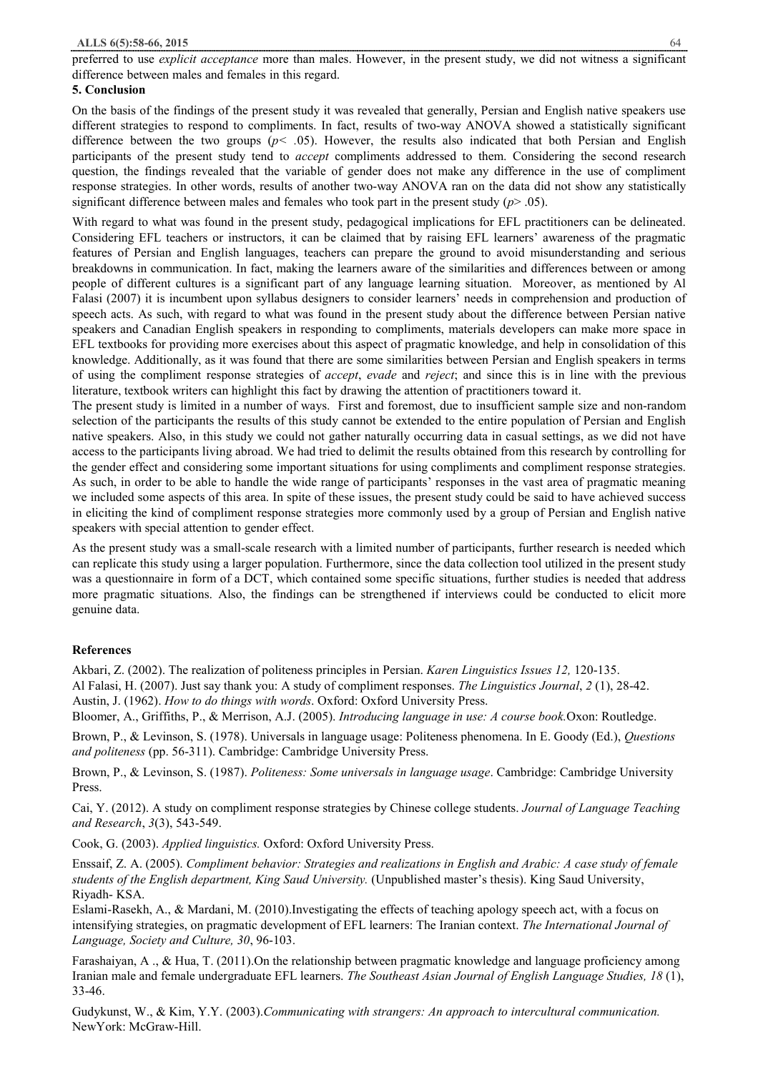preferred to use *explicit acceptance* more than males. However, in the present study, we did not witness a significant difference between males and females in this regard.

## **5. Conclusion**

On the basis of the findings of the present study it was revealed that generally, Persian and English native speakers use different strategies to respond to compliments. In fact, results of two-way ANOVA showed a statistically significant difference between the two groups ( $p$ < .05). However, the results also indicated that both Persian and English participants of the present study tend to *accept* compliments addressed to them. Considering the second research question, the findings revealed that the variable of gender does not make any difference in the use of compliment response strategies. In other words, results of another two-way ANOVA ran on the data did not show any statistically significant difference between males and females who took part in the present study (*p*> .05).

With regard to what was found in the present study, pedagogical implications for EFL practitioners can be delineated. Considering EFL teachers or instructors, it can be claimed that by raising EFL learners' awareness of the pragmatic features of Persian and English languages, teachers can prepare the ground to avoid misunderstanding and serious breakdowns in communication. In fact, making the learners aware of the similarities and differences between or among people of different cultures is a significant part of any language learning situation. Moreover, as mentioned by Al Falasi (2007) it is incumbent upon syllabus designers to consider learners' needs in comprehension and production of speech acts. As such, with regard to what was found in the present study about the difference between Persian native speakers and Canadian English speakers in responding to compliments, materials developers can make more space in EFL textbooks for providing more exercises about this aspect of pragmatic knowledge, and help in consolidation of this knowledge. Additionally, as it was found that there are some similarities between Persian and English speakers in terms of using the compliment response strategies of *accept*, *evade* and *reject*; and since this is in line with the previous literature, textbook writers can highlight this fact by drawing the attention of practitioners toward it.

The present study is limited in a number of ways. First and foremost, due to insufficient sample size and non-random selection of the participants the results of this study cannot be extended to the entire population of Persian and English native speakers. Also, in this study we could not gather naturally occurring data in casual settings, as we did not have access to the participants living abroad. We had tried to delimit the results obtained from this research by controlling for the gender effect and considering some important situations for using compliments and compliment response strategies. As such, in order to be able to handle the wide range of participants' responses in the vast area of pragmatic meaning we included some aspects of this area. In spite of these issues, the present study could be said to have achieved success in eliciting the kind of compliment response strategies more commonly used by a group of Persian and English native speakers with special attention to gender effect.

As the present study was a small-scale research with a limited number of participants, further research is needed which can replicate this study using a larger population. Furthermore, since the data collection tool utilized in the present study was a questionnaire in form of a DCT, which contained some specific situations, further studies is needed that address more pragmatic situations. Also, the findings can be strengthened if interviews could be conducted to elicit more genuine data.

# **References**

Akbari, Z. (2002). The realization of politeness principles in Persian. *Karen Linguistics Issues 12,* 120-135.

Al Falasi, H. (2007). Just say thank you: A study of compliment responses. *The Linguistics Journal*, *2* (1), 28-42.

Austin, J. (1962). *How to do things with words*. Oxford: Oxford University Press.

Bloomer, A., Griffiths, P., & Merrison, A.J. (2005). *Introducing language in use: A course book.*Oxon: Routledge.

Brown, P., & Levinson, S. (1978). Universals in language usage: Politeness phenomena. In E. Goody (Ed.), *Questions and politeness* (pp. 56-311). Cambridge: Cambridge University Press.

Brown, P., & Levinson, S. (1987). *Politeness: Some universals in language usage*. Cambridge: Cambridge University Press.

Cai, Y. (2012). A study on compliment response strategies by Chinese college students. *Journal of Language Teaching and Research*, *3*(3), 543-549.

Cook, G. (2003). *Applied linguistics.* Oxford: Oxford University Press.

Enssaif, Z. A. (2005). *Compliment behavior: Strategies and realizations in English and Arabic: A case study of female students of the English department, King Saud University.* (Unpublished master's thesis). King Saud University, Riyadh- KSA.

Eslami-Rasekh, A., & Mardani, M. (2010).Investigating the effects of teaching apology speech act, with a focus on intensifying strategies, on pragmatic development of EFL learners: The Iranian context. *The International Journal of Language, Society and Culture, 30*, 96-103.

Farashaiyan, A ., & Hua, T. (2011).On the relationship between pragmatic knowledge and language proficiency among Iranian male and female undergraduate EFL learners. *The Southeast Asian Journal of English Language Studies, 18* (1), 33-46.

Gudykunst, W., & Kim, Y.Y. (2003).*Communicating with strangers: An approach to intercultural communication.* NewYork: McGraw-Hill.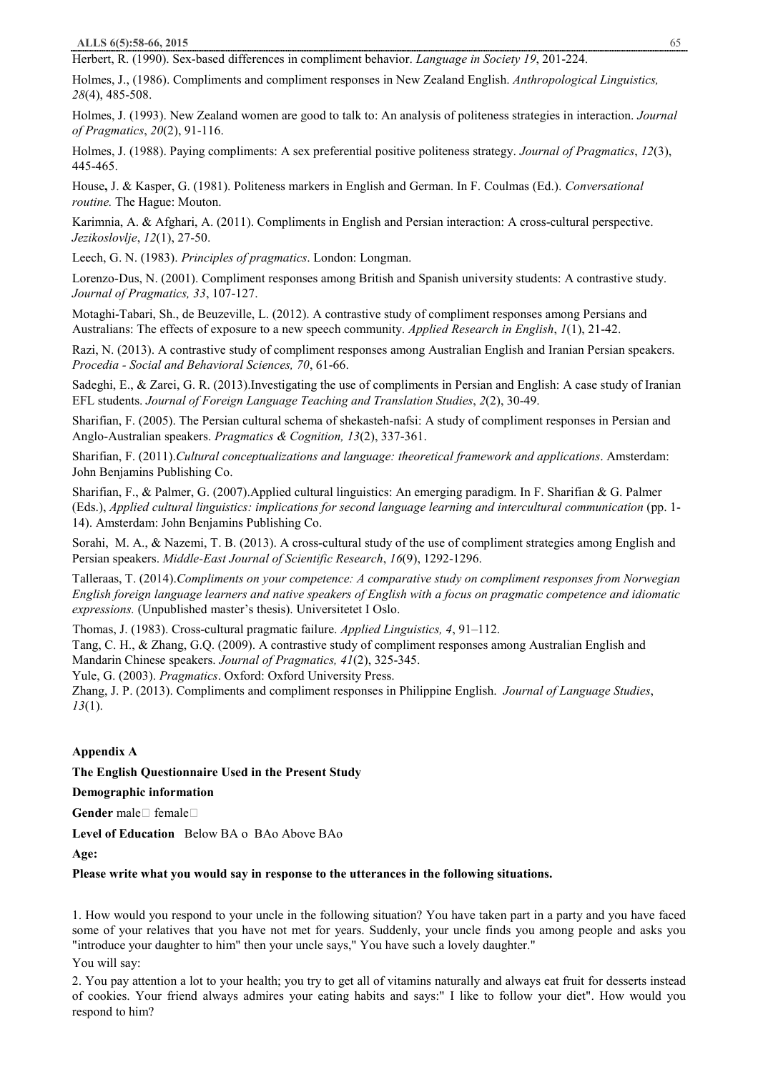Herbert, R. (1990). Sex-based differences in compliment behavior. *Language in Society 19*, 201-224.

Holmes, J., (1986). Compliments and compliment responses in New Zealand English. *Anthropological Linguistics, 28*(4), 485-508.

Holmes, J. (1993). New Zealand women are good to talk to: An analysis of politeness strategies in interaction. *Journal of Pragmatics*, *20*(2), 91-116.

Holmes, J. (1988). Paying compliments: A sex preferential positive politeness strategy. *Journal of Pragmatics*, *12*(3), 445-465.

House**,** J. & Kasper, G. (1981). Politeness markers in English and German. In F. Coulmas (Ed.). *Conversational routine.* The Hague: Mouton.

Karimnia, A. & Afghari, A. (2011). Compliments in English and Persian interaction: A cross-cultural perspective. *Jezikoslovlje*, *12*(1), 27-50.

Leech, G. N. (1983). *Principles of pragmatics*. London: Longman.

Lorenzo-Dus, N. (2001). Compliment responses among British and Spanish university students: A contrastive study. *Journal of Pragmatics, 33*, 107-127.

Motaghi-Tabari, Sh., de Beuzeville, L. (2012). A contrastive study of compliment responses among Persians and Australians: The effects of exposure to a new speech community. *Applied Research in English*, *1*(1), 21-42.

Razi, N. (2013). A contrastive study of compliment responses among Australian English and Iranian Persian speakers. *Procedia - Social and Behavioral Sciences, 70*, 61-66.

Sadeghi, E., & Zarei, G. R. (2013).Investigating the use of compliments in Persian and English: A case study of Iranian EFL students. *Journal of Foreign Language Teaching and Translation Studies*, *2*(2), 30-49.

Sharifian, F. (2005). The Persian cultural schema of shekasteh-nafsi: A study of compliment responses in Persian and Anglo-Australian speakers. *Pragmatics & Cognition, 13*(2), 337-361.

Sharifian, F. (2011).*Cultural conceptualizations and language: theoretical framework and applications*. Amsterdam: John Benjamins Publishing Co.

Sharifian, F., & Palmer, G. (2007).Applied cultural linguistics: An emerging paradigm. In F. Sharifian & G. Palmer (Eds.), *Applied cultural linguistics: implications for second language learning and intercultural communication* (pp. 1- 14). Amsterdam: John Benjamins Publishing Co.

Sorahi, M. A., & Nazemi, T. B. (2013). A cross-cultural study of the use of compliment strategies among English and Persian speakers. *Middle-East Journal of Scientific Research*, *16*(9), 1292-1296.

Talleraas, T. (2014).*Compliments on your competence: A comparative study on compliment responses from Norwegian*  English foreign language learners and native speakers of English with a focus on pragmatic competence and idiomatic *expressions.* (Unpublished master's thesis). Universitetet I Oslo.

Thomas, J. (1983). Cross-cultural pragmatic failure. *Applied Linguistics, 4*, 91–112.

Tang, C. H., & Zhang, G.Q. (2009). A contrastive study of compliment responses among Australian English and Mandarin Chinese speakers. *Journal of Pragmatics, 41*(2), 325-345.

Yule, G. (2003). *Pragmatics*. Oxford: Oxford University Press.

Zhang, J. P. (2013). Compliments and compliment responses in Philippine English. *Journal of Language Studies*, *13*(1).

# **Appendix A**

# **The English Questionnaire Used in the Present Study**

**Demographic information** 

**Gender** male Female

**Level of Education** Below BA o BAo Above BAo

**Age:** 

#### **Please write what you would say in response to the utterances in the following situations.**

1. How would you respond to your uncle in the following situation? You have taken part in a party and you have faced some of your relatives that you have not met for years. Suddenly, your uncle finds you among people and asks you "introduce your daughter to him" then your uncle says," You have such a lovely daughter."

You will say:

2. You pay attention a lot to your health; you try to get all of vitamins naturally and always eat fruit for desserts instead of cookies. Your friend always admires your eating habits and says:" I like to follow your diet". How would you respond to him?